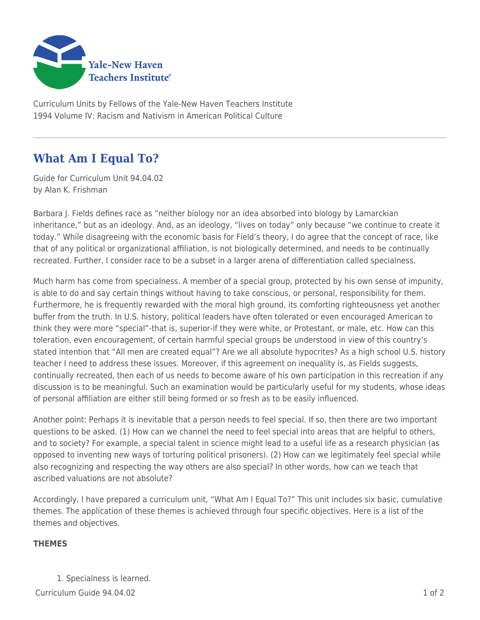

Curriculum Units by Fellows of the Yale-New Haven Teachers Institute 1994 Volume IV: Racism and Nativism in American Political Culture

## **What Am I Equal To?**

Guide for Curriculum Unit 94.04.02 by Alan K. Frishman

Barbara J. Fields defines race as "neither biology nor an idea absorbed into biology by Lamarckian inheritance," but as an ideology. And, as an ideology, "lives on today" only because "we continue to create it today." While disagreeing with the economic basis for Field's theory, I do agree that the concept of race, like that of any political or organizational affiliation, is not biologically determined, and needs to be continually recreated. Further, I consider race to be a subset in a larger arena of differentiation called specialness.

Much harm has come from specialness. A member of a special group, protected by his own sense of impunity, is able to do and say certain things without having to take conscious, or personal, responsibility for them. Furthermore, he is frequently rewarded with the moral high ground, its comforting righteousness yet another buffer from the truth. In U.S. history, political leaders have often tolerated or even encouraged American to think they were more "special"-that is, superior-if they were white, or Protestant, or male, etc. How can this toleration, even encouragement, of certain harmful special groups be understood in view of this country's stated intention that "All men are created equal"? Are we all absolute hypocrites? As a high school U.S. history teacher I need to address these issues. Moreover, if this agreement on inequality is, as Fields suggests, continually recreated, then each of us needs to become aware of his own participation in this recreation if any discussion is to be meaningful. Such an examination would be particularly useful for my students, whose ideas of personal affiliation are either still being formed or so fresh as to be easily influenced.

Another point: Perhaps it is inevitable that a person needs to feel special. If so, then there are two important questions to be asked. (1) How can we channel the need to feel special into areas that are helpful to others, and to society? For example, a special talent in science might lead to a useful life as a research physician (as opposed to inventing new ways of torturing political prisoners). (2) How can we legitimately feel special while also recognizing and respecting the way others are also special? In other words, how can we teach that ascribed valuations are not absolute?

Accordingly, I have prepared a curriculum unit, "What Am I Equal To?" This unit includes six basic, cumulative themes. The application of these themes is achieved through four specific objectives. Here is a list of the themes and objectives.

## **THEMES**

1. Specialness is learned.